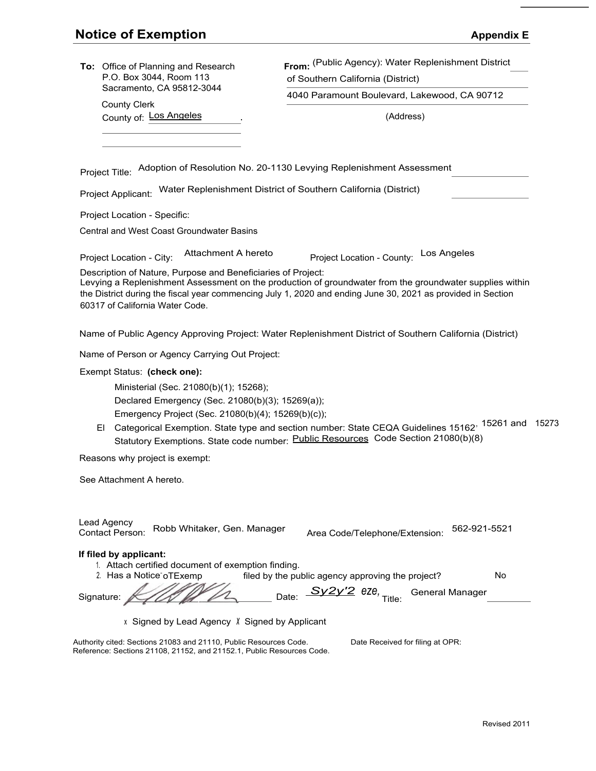# **Notice of Exemption Appendix E Appendix E**

| To: Office of Planning and Research<br>P.O. Box 3044, Room 113                                                                                                                                                                                                                                                             | From: (Public Agency): Water Replenishment District<br>of Southern California (District)                                                                                                             |
|----------------------------------------------------------------------------------------------------------------------------------------------------------------------------------------------------------------------------------------------------------------------------------------------------------------------------|------------------------------------------------------------------------------------------------------------------------------------------------------------------------------------------------------|
| Sacramento, CA 95812-3044                                                                                                                                                                                                                                                                                                  | 4040 Paramount Boulevard, Lakewood, CA 90712                                                                                                                                                         |
| <b>County Clerk</b><br>County of: Los Angeles                                                                                                                                                                                                                                                                              | (Address)                                                                                                                                                                                            |
|                                                                                                                                                                                                                                                                                                                            |                                                                                                                                                                                                      |
|                                                                                                                                                                                                                                                                                                                            |                                                                                                                                                                                                      |
| Adoption of Resolution No. 20-1130 Levying Replenishment Assessment<br>Project Title:                                                                                                                                                                                                                                      |                                                                                                                                                                                                      |
| Water Replenishment District of Southern California (District)<br>Project Applicant:                                                                                                                                                                                                                                       |                                                                                                                                                                                                      |
| Project Location - Specific:                                                                                                                                                                                                                                                                                               |                                                                                                                                                                                                      |
| <b>Central and West Coast Groundwater Basins</b>                                                                                                                                                                                                                                                                           |                                                                                                                                                                                                      |
| Attachment A hereto<br>Project Location - City:                                                                                                                                                                                                                                                                            | Los Angeles<br>Project Location - County:                                                                                                                                                            |
| Description of Nature, Purpose and Beneficiaries of Project:<br>Levying a Replenishment Assessment on the production of groundwater from the groundwater supplies within<br>the District during the fiscal year commencing July 1, 2020 and ending June 30, 2021 as provided in Section<br>60317 of California Water Code. |                                                                                                                                                                                                      |
| Name of Public Agency Approving Project: Water Replenishment District of Southern California (District)                                                                                                                                                                                                                    |                                                                                                                                                                                                      |
| Name of Person or Agency Carrying Out Project:                                                                                                                                                                                                                                                                             |                                                                                                                                                                                                      |
| Exempt Status: (check one):<br>Ministerial (Sec. 21080(b)(1); 15268);<br>Declared Emergency (Sec. 21080(b)(3); 15269(a));<br>Emergency Project (Sec. 21080(b)(4); 15269(b)(c));<br>EI.                                                                                                                                     | Categorical Exemption. State type and section number: State CEQA Guidelines 15162 <sup>, 15261</sup> and 15273<br>Statutory Exemptions. State code number: Public Resources Code Section 21080(b)(8) |
| Reasons why project is exempt:                                                                                                                                                                                                                                                                                             |                                                                                                                                                                                                      |
| See Attachment A hereto.                                                                                                                                                                                                                                                                                                   |                                                                                                                                                                                                      |
| Lead Agency                                                                                                                                                                                                                                                                                                                |                                                                                                                                                                                                      |
| Robb Whitaker, Gen. Manager<br><b>Contact Person:</b>                                                                                                                                                                                                                                                                      | 562-921-5521<br>Area Code/Telephone/Extension:                                                                                                                                                       |
| If filed by applicant:<br>1. Attach certified document of exemption finding.<br>2. Has a Notice oTExemp<br>Signature:                                                                                                                                                                                                      | filed by the public agency approving the project?<br>No<br>Date: $Syzy'2$ eze, Title:<br><b>General Manager</b>                                                                                      |
| x Signed by Lead Agency X Signed by Applicant                                                                                                                                                                                                                                                                              |                                                                                                                                                                                                      |
| Authority cited: Sections 21083 and 21110, Public Resources Code.<br>Date Received for filing at OPR:<br>Reference: Sections 21108, 21152, and 21152.1, Public Resources Code.                                                                                                                                             |                                                                                                                                                                                                      |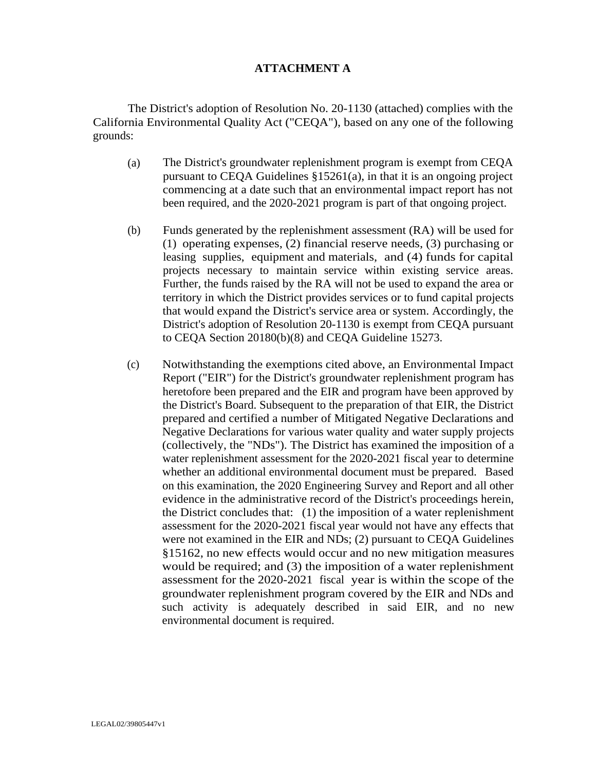#### **ATTACHMENT A**

The District's adoption of Resolution No. 20-1130 (attached) complies with the California Environmental Quality Act ("CEQA"), based on any one of the following grounds:

- (a) The District's groundwater replenishment program is exempt from CEQA pursuant to CEQA Guidelines §15261(a), in that it is an ongoing project commencing at a date such that an environmental impact report has not been required, and the 2020-2021 program is part of that ongoing project.
- (b) Funds generated by the replenishment assessment (RA) will be used for (1) operating expenses, (2) financial reserve needs, (3) purchasing or leasing supplies, equipment and materials, and (4) funds for capital projects necessary to maintain service within existing service areas. Further, the funds raised by the RA will not be used to expand the area or territory in which the District provides services or to fund capital projects that would expand the District's service area or system. Accordingly, the District's adoption of Resolution 20-1130 is exempt from CEQA pursuant to CEQA Section 20180(b)(8) and CEQA Guideline 15273.
- (c) Notwithstanding the exemptions cited above, an Environmental Impact Report ("EIR") for the District's groundwater replenishment program has heretofore been prepared and the EIR and program have been approved by the District's Board. Subsequent to the preparation of that EIR, the District prepared and certified a number of Mitigated Negative Declarations and Negative Declarations for various water quality and water supply projects (collectively, the "NDs"). The District has examined the imposition of a water replenishment assessment for the 2020-2021 fiscal year to determine whether an additional environmental document must be prepared. Based on this examination, the 2020 Engineering Survey and Report and all other evidence in the administrative record of the District's proceedings herein, the District concludes that: (1) the imposition of a water replenishment assessment for the 2020-2021 fiscal year would not have any effects that were not examined in the EIR and NDs; (2) pursuant to CEQA Guidelines §15162, no new effects would occur and no new mitigation measures would be required; and (3) the imposition of a water replenishment assessment for the 2020-2021 fiscal year is within the scope of the groundwater replenishment program covered by the EIR and NDs and such activity is adequately described in said EIR, and no new environmental document is required.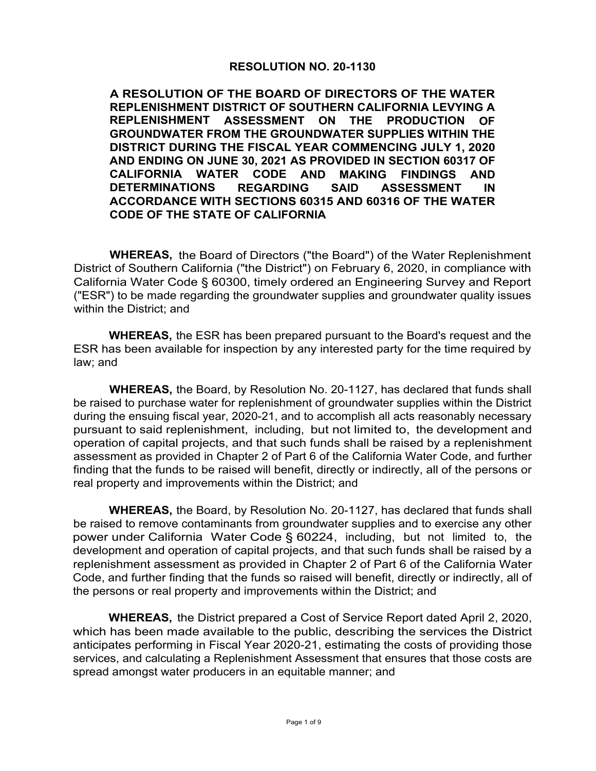#### **RESOLUTION NO. 20-1130**

**A RESOLUTION OF THE BOARD OF DIRECTORS OF THE WATER REPLENISHMENT DISTRICT OF SOUTHERN CALIFORNIA LEVYING A REPLENISHMENT ASSESSMENT ON THE PRODUCTION OF GROUNDWATER FROM THE GROUNDWATER SUPPLIES WITHIN THE DISTRICT DURING THE FISCAL YEAR COMMENCING JULY 1, 2020 AND ENDING ON JUNE 30, 2021 AS PROVIDED IN SECTION 60317 OF CALIFORNIA WATER CODE AND MAKING FINDINGS AND DETERMINATIONS REGARDING SAID ASSESSMENT IN ACCORDANCE WITH SECTIONS 60315 AND 60316 OF THE WATER CODE OF THE STATE OF CALIFORNIA** 

**WHEREAS,** the Board of Directors ("the Board") of the Water Replenishment District of Southern California ("the District") on February 6, 2020, in compliance with California Water Code § 60300, timely ordered an Engineering Survey and Report ("ESR") to be made regarding the groundwater supplies and groundwater quality issues within the District; and

**WHEREAS,** the ESR has been prepared pursuant to the Board's request and the ESR has been available for inspection by any interested party for the time required by law; and

**WHEREAS,** the Board, by Resolution No. 20-1127, has declared that funds shall be raised to purchase water for replenishment of groundwater supplies within the District during the ensuing fiscal year, 2020-21, and to accomplish all acts reasonably necessary pursuant to said replenishment, including, but not limited to, the development and operation of capital projects, and that such funds shall be raised by a replenishment assessment as provided in Chapter 2 of Part 6 of the California Water Code, and further finding that the funds to be raised will benefit, directly or indirectly, all of the persons or real property and improvements within the District; and

**WHEREAS,** the Board, by Resolution No. 20-1127, has declared that funds shall be raised to remove contaminants from groundwater supplies and to exercise any other power under California Water Code § 60224, including, but not limited to, the development and operation of capital projects, and that such funds shall be raised by a replenishment assessment as provided in Chapter 2 of Part 6 of the California Water Code, and further finding that the funds so raised will benefit, directly or indirectly, all of the persons or real property and improvements within the District; and

**WHEREAS,** the District prepared a Cost of Service Report dated April 2, 2020, which has been made available to the public, describing the services the District anticipates performing in Fiscal Year 2020-21, estimating the costs of providing those services, and calculating a Replenishment Assessment that ensures that those costs are spread amongst water producers in an equitable manner; and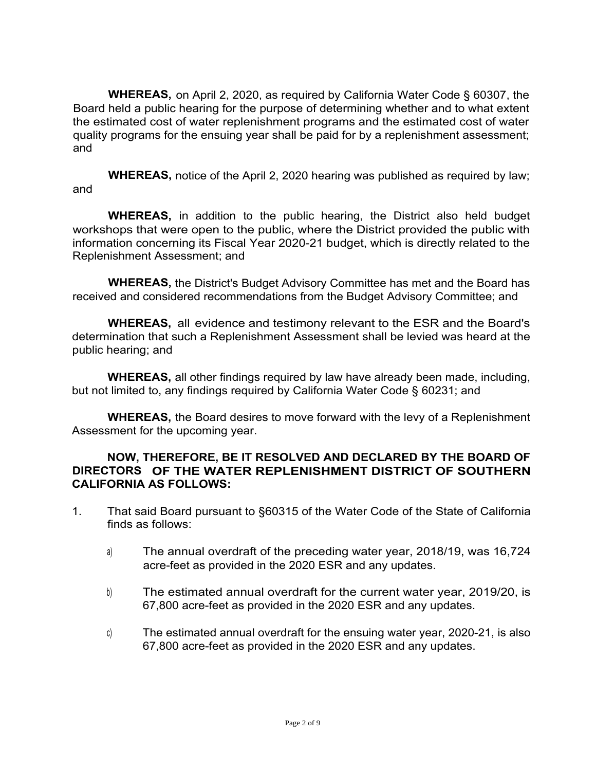**WHEREAS,** on April 2, 2020, as required by California Water Code § 60307, the Board held a public hearing for the purpose of determining whether and to what extent the estimated cost of water replenishment programs and the estimated cost of water quality programs for the ensuing year shall be paid for by a replenishment assessment; and

**WHEREAS,** notice of the April 2, 2020 hearing was published as required by law; and

**WHEREAS,** in addition to the public hearing, the District also held budget workshops that were open to the public, where the District provided the public with information concerning its Fiscal Year 2020-21 budget, which is directly related to the Replenishment Assessment; and

**WHEREAS,** the District's Budget Advisory Committee has met and the Board has received and considered recommendations from the Budget Advisory Committee; and

**WHEREAS,** all evidence and testimony relevant to the ESR and the Board's determination that such a Replenishment Assessment shall be levied was heard at the public hearing; and

**WHEREAS,** all other findings required by law have already been made, including, but not limited to, any findings required by California Water Code § 60231; and

**WHEREAS,** the Board desires to move forward with the levy of a Replenishment Assessment for the upcoming year.

### **NOW, THEREFORE, BE IT RESOLVED AND DECLARED BY THE BOARD OF DIRECTORS OF THE WATER REPLENISHMENT DISTRICT OF SOUTHERN CALIFORNIA AS FOLLOWS:**

- 1. That said Board pursuant to §60315 of the Water Code of the State of California finds as follows:
	- a) The annual overdraft of the preceding water year, 2018/19, was 16,724 acre-feet as provided in the 2020 ESR and any updates.
	- b) The estimated annual overdraft for the current water year, 2019/20, is 67,800 acre-feet as provided in the 2020 ESR and any updates.
	- c) The estimated annual overdraft for the ensuing water year, 2020-21, is also 67,800 acre-feet as provided in the 2020 ESR and any updates.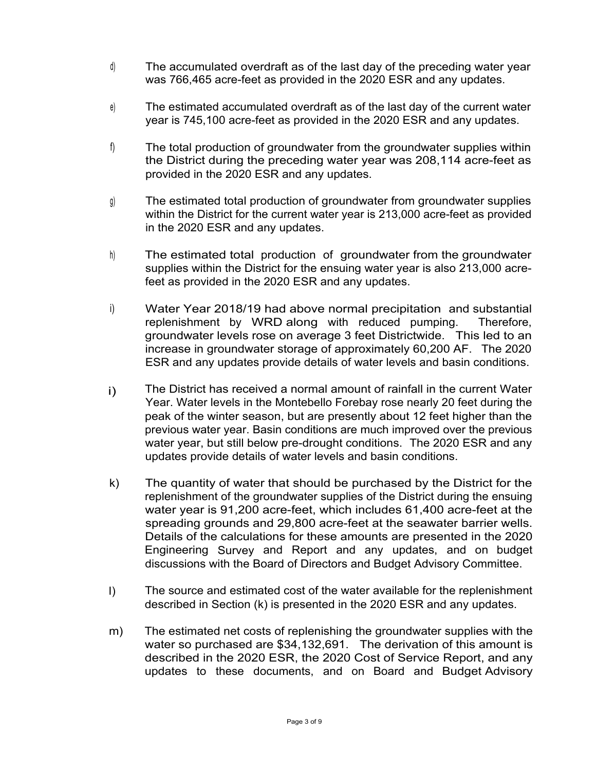- d) The accumulated overdraft as of the last day of the preceding water year was 766,465 acre-feet as provided in the 2020 ESR and any updates.
- e) The estimated accumulated overdraft as of the last day of the current water year is 745,100 acre-feet as provided in the 2020 ESR and any updates.
- f) The total production of groundwater from the groundwater supplies within the District during the preceding water year was 208,114 acre-feet as provided in the 2020 ESR and any updates.
- g) The estimated total production of groundwater from groundwater supplies within the District for the current water year is 213,000 acre-feet as provided in the 2020 ESR and any updates.
- h) The estimated total production of groundwater from the groundwater supplies within the District for the ensuing water year is also 213,000 acrefeet as provided in the 2020 ESR and any updates.
- i) Water Year 2018/19 had above normal precipitation and substantial replenishment by WRD along with reduced pumping. Therefore, groundwater levels rose on average 3 feet Districtwide. This led to an increase in groundwater storage of approximately 60,200 AF. The 2020 ESR and any updates provide details of water levels and basin conditions.
- i) The District has received a normal amount of rainfall in the current Water Year. Water levels in the Montebello Forebay rose nearly 20 feet during the peak of the winter season, but are presently about 12 feet higher than the previous water year. Basin conditions are much improved over the previous water year, but still below pre-drought conditions. The 2020 ESR and any updates provide details of water levels and basin conditions.
- k) The quantity of water that should be purchased by the District for the replenishment of the groundwater supplies of the District during the ensuing water year is 91,200 acre-feet, which includes 61,400 acre-feet at the spreading grounds and 29,800 acre-feet at the seawater barrier wells. Details of the calculations for these amounts are presented in the 2020 Engineering Survey and Report and any updates, and on budget discussions with the Board of Directors and Budget Advisory Committee.
- I) The source and estimated cost of the water available for the replenishment described in Section (k) is presented in the 2020 ESR and any updates.
- m) The estimated net costs of replenishing the groundwater supplies with the water so purchased are \$34,132,691. The derivation of this amount is described in the 2020 ESR, the 2020 Cost of Service Report, and any updates to these documents, and on Board and Budget Advisory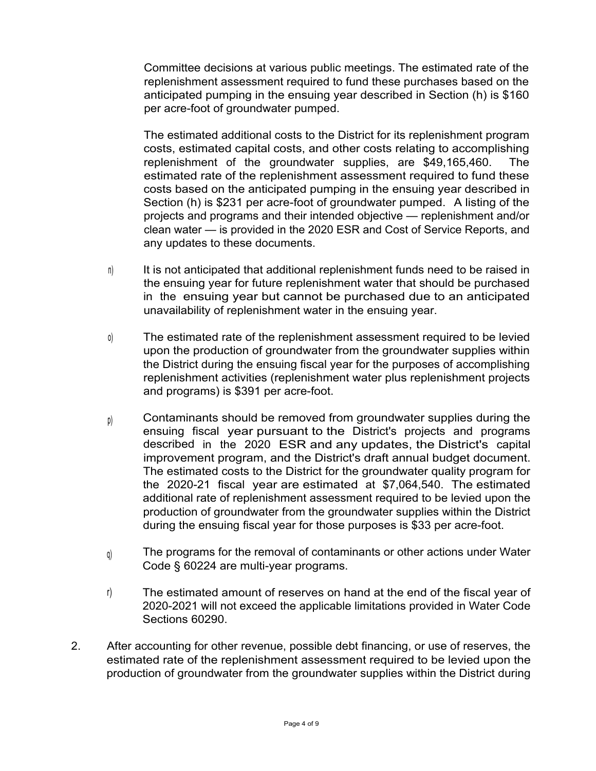Committee decisions at various public meetings. The estimated rate of the replenishment assessment required to fund these purchases based on the anticipated pumping in the ensuing year described in Section (h) is \$160 per acre-foot of groundwater pumped.

The estimated additional costs to the District for its replenishment program costs, estimated capital costs, and other costs relating to accomplishing replenishment of the groundwater supplies, are \$49,165,460. The estimated rate of the replenishment assessment required to fund these costs based on the anticipated pumping in the ensuing year described in Section (h) is \$231 per acre-foot of groundwater pumped. A listing of the projects and programs and their intended objective — replenishment and/or clean water — is provided in the 2020 ESR and Cost of Service Reports, and any updates to these documents.

- n) It is not anticipated that additional replenishment funds need to be raised in the ensuing year for future replenishment water that should be purchased in the ensuing year but cannot be purchased due to an anticipated unavailability of replenishment water in the ensuing year.
- o) The estimated rate of the replenishment assessment required to be levied upon the production of groundwater from the groundwater supplies within the District during the ensuing fiscal year for the purposes of accomplishing replenishment activities (replenishment water plus replenishment projects and programs) is \$391 per acre-foot.
- $p$  Contaminants should be removed from groundwater supplies during the ensuing fiscal year pursuant to the District's projects and programs described in the 2020 ESR and any updates, the District's capital improvement program, and the District's draft annual budget document. The estimated costs to the District for the groundwater quality program for the 2020-21 fiscal year are estimated at \$7,064,540. The estimated additional rate of replenishment assessment required to be levied upon the production of groundwater from the groundwater supplies within the District during the ensuing fiscal year for those purposes is \$33 per acre-foot.
- $_{q}$  The programs for the removal of contaminants or other actions under Water Code § 60224 are multi-year programs.
- r) The estimated amount of reserves on hand at the end of the fiscal year of 2020-2021 will not exceed the applicable limitations provided in Water Code Sections 60290.
- 2. After accounting for other revenue, possible debt financing, or use of reserves, the estimated rate of the replenishment assessment required to be levied upon the production of groundwater from the groundwater supplies within the District during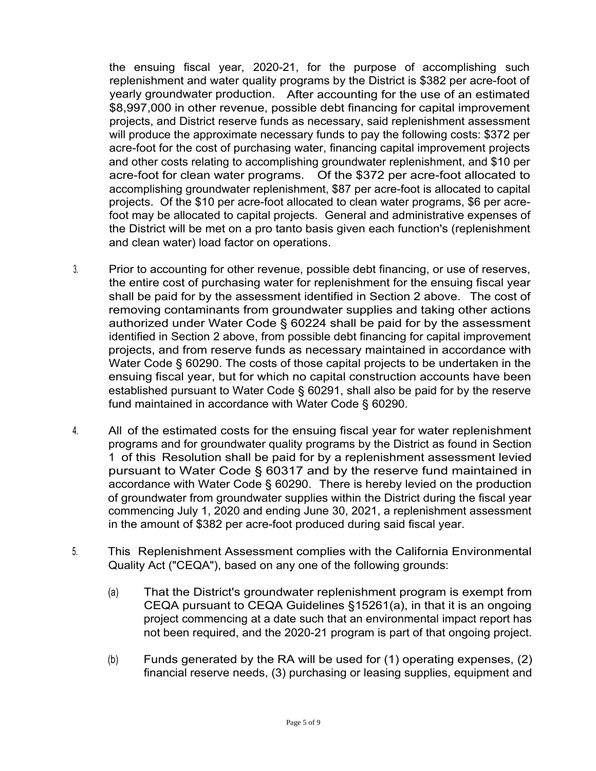the ensuing fiscal year, 2020-21, for the purpose of accomplishing such replenishment and water quality programs by the District is \$382 per acre-foot of yearly groundwater production. After accounting for the use of an estimated \$8,997,000 in other revenue, possible debt financing for capital improvement projects, and District reserve funds as necessary, said replenishment assessment will produce the approximate necessary funds to pay the following costs: \$372 per acre-foot for the cost of purchasing water, financing capital improvement projects and other costs relating to accomplishing groundwater replenishment, and \$10 per acre-foot for clean water programs. Of the \$372 per acre-foot allocated to accomplishing groundwater replenishment, \$87 per acre-foot is allocated to capital projects. Of the \$10 per acre-foot allocated to clean water programs, \$6 per acrefoot may be allocated to capital projects. General and administrative expenses of the District will be met on a pro tanto basis given each function's (replenishment and clean water) load factor on operations.

- 3. Prior to accounting for other revenue, possible debt financing, or use of reserves, the entire cost of purchasing water for replenishment for the ensuing fiscal year shall be paid for by the assessment identified in Section 2 above. The cost of removing contaminants from groundwater supplies and taking other actions authorized under Water Code § 60224 shall be paid for by the assessment identified in Section 2 above, from possible debt financing for capital improvement projects, and from reserve funds as necessary maintained in accordance with Water Code § 60290. The costs of those capital projects to be undertaken in the ensuing fiscal year, but for which no capital construction accounts have been established pursuant to Water Code § 60291, shall also be paid for by the reserve fund maintained in accordance with Water Code § 60290.
- 4. All of the estimated costs for the ensuing fiscal year for water replenishment programs and for groundwater quality programs by the District as found in Section 1 of this Resolution shall be paid for by a replenishment assessment levied pursuant to Water Code § 60317 and by the reserve fund maintained in accordance with Water Code § 60290. There is hereby levied on the production of groundwater from groundwater supplies within the District during the fiscal year commencing July 1, 2020 and ending June 30, 2021, a replenishment assessment in the amount of \$382 per acre-foot produced during said fiscal year.
- 5. This Replenishment Assessment complies with the California Environmental Quality Act ("CEQA"), based on any one of the following grounds:
	- (a) That the District's groundwater replenishment program is exempt from CEQA pursuant to CEQA Guidelines §15261(a), in that it is an ongoing project commencing at a date such that an environmental impact report has not been required, and the 2020-21 program is part of that ongoing project.
	- (b) Funds generated by the RA will be used for (1) operating expenses, (2) financial reserve needs, (3) purchasing or leasing supplies, equipment and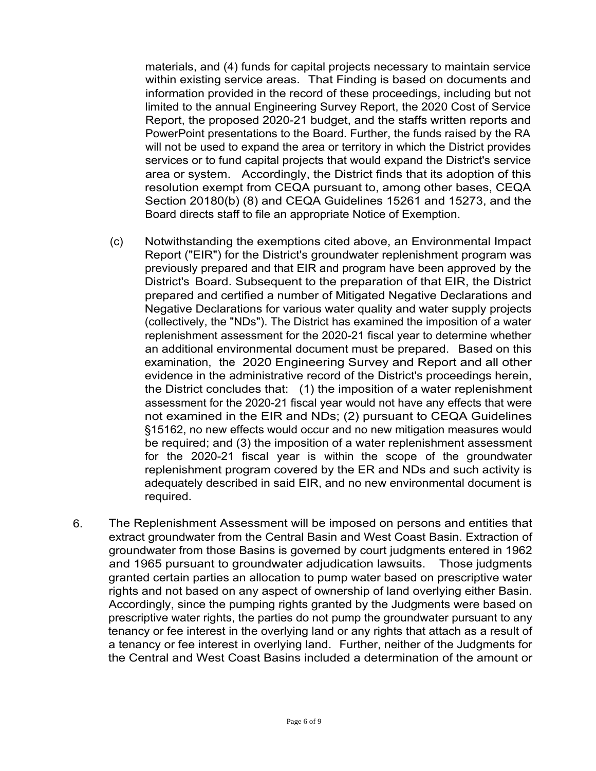materials, and (4) funds for capital projects necessary to maintain service within existing service areas. That Finding is based on documents and information provided in the record of these proceedings, including but not limited to the annual Engineering Survey Report, the 2020 Cost of Service Report, the proposed 2020-21 budget, and the staffs written reports and PowerPoint presentations to the Board. Further, the funds raised by the RA will not be used to expand the area or territory in which the District provides services or to fund capital projects that would expand the District's service area or system. Accordingly, the District finds that its adoption of this resolution exempt from CEQA pursuant to, among other bases, CEQA Section 20180(b) (8) and CEQA Guidelines 15261 and 15273, and the Board directs staff to file an appropriate Notice of Exemption.

- (c) Notwithstanding the exemptions cited above, an Environmental Impact Report ("EIR") for the District's groundwater replenishment program was previously prepared and that EIR and program have been approved by the District's Board. Subsequent to the preparation of that EIR, the District prepared and certified a number of Mitigated Negative Declarations and Negative Declarations for various water quality and water supply projects (collectively, the "NDs"). The District has examined the imposition of a water replenishment assessment for the 2020-21 fiscal year to determine whether an additional environmental document must be prepared. Based on this examination, the 2020 Engineering Survey and Report and all other evidence in the administrative record of the District's proceedings herein, the District concludes that: (1) the imposition of a water replenishment assessment for the 2020-21 fiscal year would not have any effects that were not examined in the EIR and NDs; (2) pursuant to CEQA Guidelines §15162, no new effects would occur and no new mitigation measures would be required; and (3) the imposition of a water replenishment assessment for the 2020-21 fiscal year is within the scope of the groundwater replenishment program covered by the ER and NDs and such activity is adequately described in said EIR, and no new environmental document is required.
- 6. The Replenishment Assessment will be imposed on persons and entities that extract groundwater from the Central Basin and West Coast Basin. Extraction of groundwater from those Basins is governed by court judgments entered in 1962 and 1965 pursuant to groundwater adjudication lawsuits. Those judgments granted certain parties an allocation to pump water based on prescriptive water rights and not based on any aspect of ownership of land overlying either Basin. Accordingly, since the pumping rights granted by the Judgments were based on prescriptive water rights, the parties do not pump the groundwater pursuant to any tenancy or fee interest in the overlying land or any rights that attach as a result of a tenancy or fee interest in overlying land. Further, neither of the Judgments for the Central and West Coast Basins included a determination of the amount or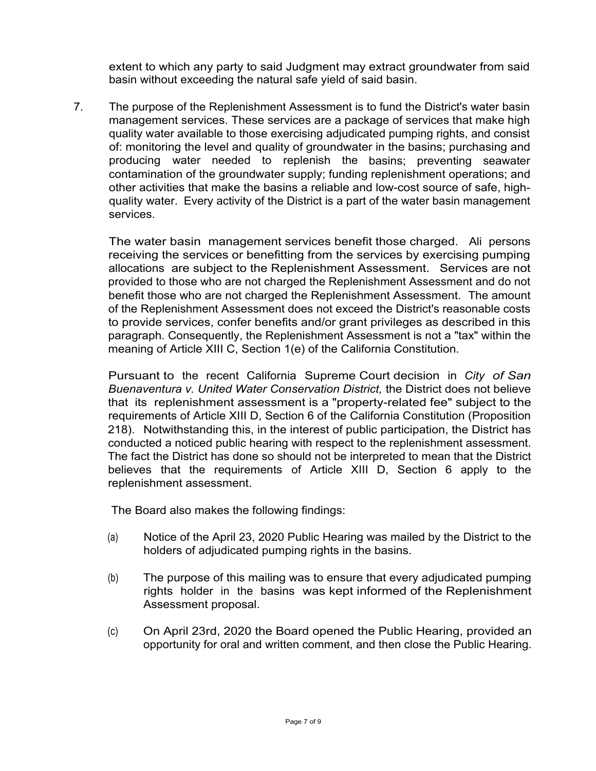extent to which any party to said Judgment may extract groundwater from said basin without exceeding the natural safe yield of said basin.

7. The purpose of the Replenishment Assessment is to fund the District's water basin management services. These services are a package of services that make high quality water available to those exercising adjudicated pumping rights, and consist of: monitoring the level and quality of groundwater in the basins; purchasing and producing water needed to replenish the basins; preventing seawater contamination of the groundwater supply; funding replenishment operations; and other activities that make the basins a reliable and low-cost source of safe, highquality water. Every activity of the District is a part of the water basin management services.

The water basin management services benefit those charged. Ali persons receiving the services or benefitting from the services by exercising pumping allocations are subject to the Replenishment Assessment. Services are not provided to those who are not charged the Replenishment Assessment and do not benefit those who are not charged the Replenishment Assessment. The amount of the Replenishment Assessment does not exceed the District's reasonable costs to provide services, confer benefits and/or grant privileges as described in this paragraph. Consequently, the Replenishment Assessment is not a "tax" within the meaning of Article XIII C, Section 1(e) of the California Constitution.

Pursuant to the recent California Supreme Court decision in *City of San Buenaventura v. United Water Conservation District,* the District does not believe that its replenishment assessment is a "property-related fee" subject to the requirements of Article XIII D, Section 6 of the California Constitution (Proposition 218). Notwithstanding this, in the interest of public participation, the District has conducted a noticed public hearing with respect to the replenishment assessment. The fact the District has done so should not be interpreted to mean that the District believes that the requirements of Article XIII D, Section 6 apply to the replenishment assessment.

The Board also makes the following findings:

- (a) Notice of the April 23, 2020 Public Hearing was mailed by the District to the holders of adjudicated pumping rights in the basins.
- (b) The purpose of this mailing was to ensure that every adjudicated pumping rights holder in the basins was kept informed of the Replenishment Assessment proposal.
- (c) On April 23rd, 2020 the Board opened the Public Hearing, provided an opportunity for oral and written comment, and then close the Public Hearing.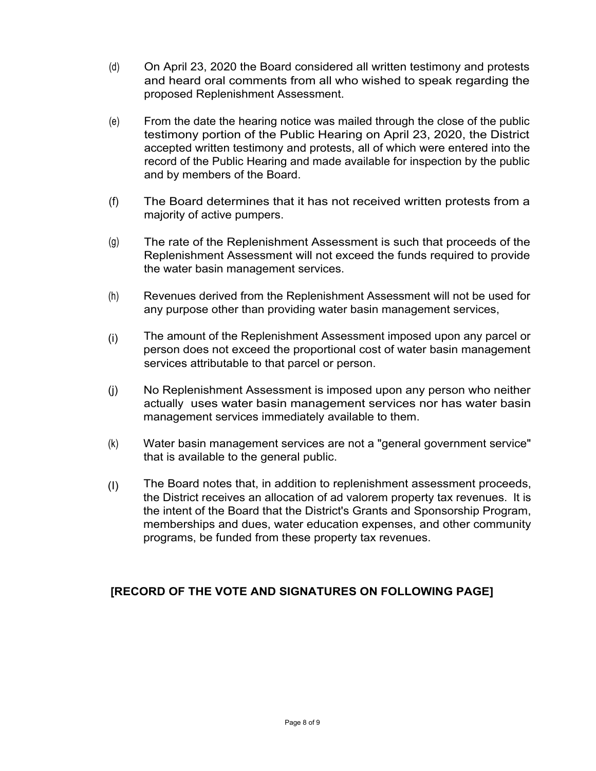- (d) On April 23, 2020 the Board considered all written testimony and protests and heard oral comments from all who wished to speak regarding the proposed Replenishment Assessment.
- (e) From the date the hearing notice was mailed through the close of the public testimony portion of the Public Hearing on April 23, 2020, the District accepted written testimony and protests, all of which were entered into the record of the Public Hearing and made available for inspection by the public and by members of the Board.
- (f) The Board determines that it has not received written protests from a majority of active pumpers.
- (g) The rate of the Replenishment Assessment is such that proceeds of the Replenishment Assessment will not exceed the funds required to provide the water basin management services.
- (h) Revenues derived from the Replenishment Assessment will not be used for any purpose other than providing water basin management services,
- (i) The amount of the Replenishment Assessment imposed upon any parcel or person does not exceed the proportional cost of water basin management services attributable to that parcel or person.
- (j) No Replenishment Assessment is imposed upon any person who neither actually uses water basin management services nor has water basin management services immediately available to them.
- (k) Water basin management services are not a "general government service" that is available to the general public.
- (I) The Board notes that, in addition to replenishment assessment proceeds, the District receives an allocation of ad valorem property tax revenues. It is the intent of the Board that the District's Grants and Sponsorship Program, memberships and dues, water education expenses, and other community programs, be funded from these property tax revenues.

## **[RECORD OF THE VOTE AND SIGNATURES ON FOLLOWING PAGE]**